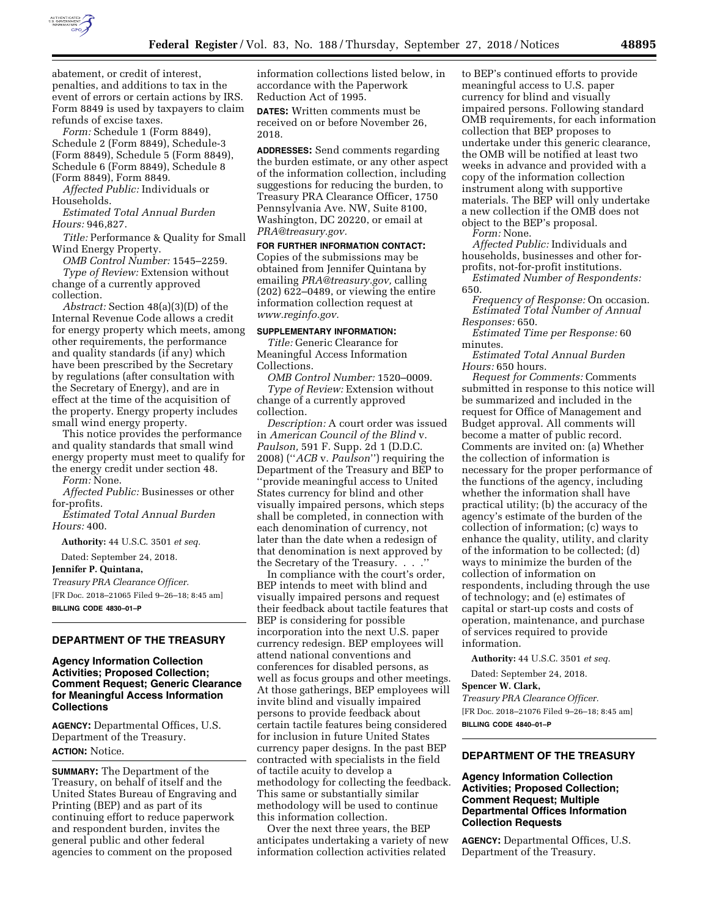

abatement, or credit of interest, penalties, and additions to tax in the event of errors or certain actions by IRS. Form 8849 is used by taxpayers to claim refunds of excise taxes.

*Form:* Schedule 1 (Form 8849), Schedule 2 (Form 8849), Schedule-3 (Form 8849), Schedule 5 (Form 8849), Schedule 6 (Form 8849), Schedule 8 (Form 8849), Form 8849.

*Affected Public:* Individuals or Households.

*Estimated Total Annual Burden Hours:* 946,827.

*Title:* Performance & Quality for Small Wind Energy Property.

*OMB Control Number:* 1545–2259. *Type of Review:* Extension without change of a currently approved collection.

*Abstract:* Section 48(a)(3)(D) of the Internal Revenue Code allows a credit for energy property which meets, among other requirements, the performance and quality standards (if any) which have been prescribed by the Secretary by regulations (after consultation with the Secretary of Energy), and are in effect at the time of the acquisition of the property. Energy property includes small wind energy property.

This notice provides the performance and quality standards that small wind energy property must meet to qualify for the energy credit under section 48. *Form:* None.

*Affected Public:* Businesses or other for-profits.

*Estimated Total Annual Burden Hours:* 400.

**Authority:** 44 U.S.C. 3501 *et seq.* 

Dated: September 24, 2018.

**Jennifer P. Quintana,** 

*Treasury PRA Clearance Officer.*  [FR Doc. 2018–21065 Filed 9–26–18; 8:45 am]

**BILLING CODE 4830–01–P** 

## **DEPARTMENT OF THE TREASURY**

## **Agency Information Collection Activities; Proposed Collection; Comment Request; Generic Clearance for Meaningful Access Information Collections**

**AGENCY:** Departmental Offices, U.S. Department of the Treasury. **ACTION:** Notice.

**SUMMARY:** The Department of the Treasury, on behalf of itself and the United States Bureau of Engraving and Printing (BEP) and as part of its continuing effort to reduce paperwork and respondent burden, invites the general public and other federal agencies to comment on the proposed

information collections listed below, in accordance with the Paperwork Reduction Act of 1995.

**DATES:** Written comments must be received on or before November 26, 2018.

**ADDRESSES:** Send comments regarding the burden estimate, or any other aspect of the information collection, including suggestions for reducing the burden, to Treasury PRA Clearance Officer, 1750 Pennsylvania Ave. NW, Suite 8100, Washington, DC 20220, or email at *[PRA@treasury.gov.](mailto:PRA@treasury.gov)* 

**FOR FURTHER INFORMATION CONTACT:**  Copies of the submissions may be obtained from Jennifer Quintana by emailing *[PRA@treasury.gov,](mailto:PRA@treasury.gov)* calling (202) 622–0489, or viewing the entire information collection request at *[www.reginfo.gov.](http://www.reginfo.gov)* 

#### **SUPPLEMENTARY INFORMATION:**

*Title:* Generic Clearance for Meaningful Access Information Collections.

*OMB Control Number:* 1520–0009. *Type of Review:* Extension without change of a currently approved collection.

*Description:* A court order was issued in *American Council of the Blind* v. *Paulson,* 591 F. Supp. 2d 1 (D.D.C. 2008) (''*ACB* v. *Paulson*'') requiring the Department of the Treasury and BEP to ''provide meaningful access to United States currency for blind and other visually impaired persons, which steps shall be completed, in connection with each denomination of currency, not later than the date when a redesign of that denomination is next approved by the Secretary of the Treasury. . . .''

In compliance with the court's order, BEP intends to meet with blind and visually impaired persons and request their feedback about tactile features that BEP is considering for possible incorporation into the next U.S. paper currency redesign. BEP employees will attend national conventions and conferences for disabled persons, as well as focus groups and other meetings. At those gatherings, BEP employees will invite blind and visually impaired persons to provide feedback about certain tactile features being considered for inclusion in future United States currency paper designs. In the past BEP contracted with specialists in the field of tactile acuity to develop a methodology for collecting the feedback. This same or substantially similar methodology will be used to continue this information collection.

Over the next three years, the BEP anticipates undertaking a variety of new information collection activities related

to BEP's continued efforts to provide meaningful access to U.S. paper currency for blind and visually impaired persons. Following standard OMB requirements, for each information collection that BEP proposes to undertake under this generic clearance, the OMB will be notified at least two weeks in advance and provided with a copy of the information collection instrument along with supportive materials. The BEP will only undertake a new collection if the OMB does not object to the BEP's proposal. *Form:* None.

*Affected Public:* Individuals and households, businesses and other forprofits, not-for-profit institutions.

*Estimated Number of Respondents:*  650.

*Frequency of Response:* On occasion. *Estimated Total Number of Annual Responses:* 650.

*Estimated Time per Response:* 60 minutes.

*Estimated Total Annual Burden Hours:* 650 hours.

*Request for Comments:* Comments submitted in response to this notice will be summarized and included in the request for Office of Management and Budget approval. All comments will become a matter of public record. Comments are invited on: (a) Whether the collection of information is necessary for the proper performance of the functions of the agency, including whether the information shall have practical utility; (b) the accuracy of the agency's estimate of the burden of the collection of information; (c) ways to enhance the quality, utility, and clarity of the information to be collected; (d) ways to minimize the burden of the collection of information on respondents, including through the use of technology; and (e) estimates of capital or start-up costs and costs of operation, maintenance, and purchase of services required to provide information.

**Authority:** 44 U.S.C. 3501 *et seq.* 

Dated: September 24, 2018.

**Spencer W. Clark,** 

*Treasury PRA Clearance Officer.*  [FR Doc. 2018–21076 Filed 9–26–18; 8:45 am] **BILLING CODE 4840–01–P** 

## **DEPARTMENT OF THE TREASURY**

### **Agency Information Collection Activities; Proposed Collection; Comment Request; Multiple Departmental Offices Information Collection Requests**

**AGENCY:** Departmental Offices, U.S. Department of the Treasury.